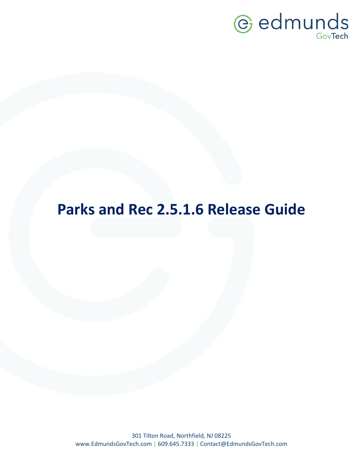

## **Parks and Rec 2.5.1.6 Release Guide**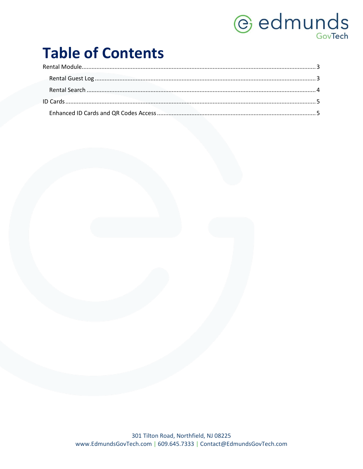# *<u>e* edmunds</u>

## **Table of Contents**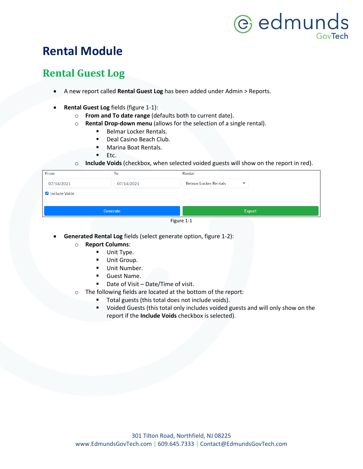## @ edmunds GovTech

### <span id="page-2-0"></span>**Rental Module**

#### <span id="page-2-1"></span>**Rental Guest Log**

- A new report called **Rental Guest Log** has been added under Admin > Reports.
- **Rental Guest Log** fields (figure 1-1):
	- o **From and To date range** (defaults both to current date).
	- o **Rental Drop-down menu** (allows for the selection of a single rental).
		- **Belmar Locker Rentals.**
		- Deal Casino Beach Club.
		- Marina Boat Rentals.
		- $F$ tc.
	- o **Include Voids** (checkbox, when selected voided guests will show on the report in red).

| From                   | To         | Rental                                                   |  |  |  |  |  |
|------------------------|------------|----------------------------------------------------------|--|--|--|--|--|
| 07/14/2021             | 07/14/2021 | <b>Belmar Locker Rentals</b><br>$\overline{\phantom{a}}$ |  |  |  |  |  |
| <b>Z</b> Include Voids |            |                                                          |  |  |  |  |  |
| Generate               |            | <b>Export</b>                                            |  |  |  |  |  |
| Eianira 1.1            |            |                                                          |  |  |  |  |  |

Figure 1-1

- **Generated Rental Log** fields (select generate option, figure 1-2):
	- o **Report Columns**:
		- Unit Type.
		- Unit Group.
		- Unit Number.
		- Guest Name.
		- Date of Visit Date/Time of visit.
		- The following fields are located at the bottom of the report:
			- Total guests (this total does not include voids).
			- Voided Guests (this total only includes voided guests and will only show on the report if the **Include Voids** checkbox is selected).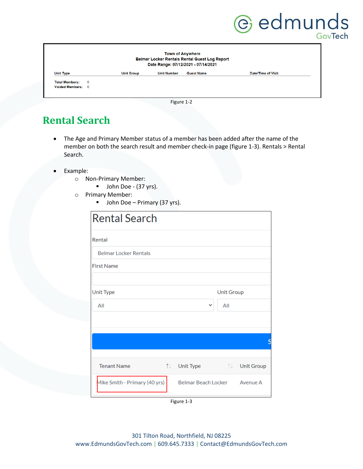|                                         |                          |                   |                    |                                                                                                                        | (e) edmunds               | GovTech |
|-----------------------------------------|--------------------------|-------------------|--------------------|------------------------------------------------------------------------------------------------------------------------|---------------------------|---------|
|                                         |                          |                   |                    | <b>Town of Anywhere</b><br><b>Belmar Locker Rentals Rental Guest Log Report</b><br>Date Range: 07/12/2021 - 07/14/2021 |                           |         |
| <b>Jnit Type</b>                        |                          | <b>Unit Group</b> | <b>Unit Number</b> | <b>Guest Name</b>                                                                                                      | <b>Date/Time of Visit</b> |         |
| <b>Total Members:</b><br>oided Members: | $\mathbf{0}$<br>$\Omega$ |                   |                    |                                                                                                                        |                           |         |
|                                         |                          |                   | Figure 1-2         |                                                                                                                        |                           |         |

#### <span id="page-3-0"></span>**Rental Search**

- The Age and Primary Member status of a member has been added after the name of the member on both the search result and member check-in page (figure 1-3). Rentals > Rental Search.
- Example:
	- o Non-Primary Member:
		- John Doe (37 yrs).
	- o Primary Member:
		- John Doe Primary (37 yrs).

| <b>Rental Search</b>          |                               |                   |                   |
|-------------------------------|-------------------------------|-------------------|-------------------|
| Rental                        |                               |                   |                   |
| <b>Belmar Locker Rentals</b>  |                               |                   |                   |
| <b>First Name</b>             |                               |                   |                   |
|                               |                               |                   |                   |
| <b>Unit Type</b>              |                               | <b>Unit Group</b> |                   |
| All                           | ◡                             | All               |                   |
|                               |                               |                   |                   |
|                               |                               |                   |                   |
|                               |                               |                   |                   |
|                               |                               |                   |                   |
| <b>Tenant Name</b>            | ↑↓ Unit Type in the Unit Type | ↑↓                | <b>Unit Group</b> |
| Mike Smith - Primary (40 yrs) | Belmar Beach Locker Avenue A  |                   |                   |

Figure 1-3